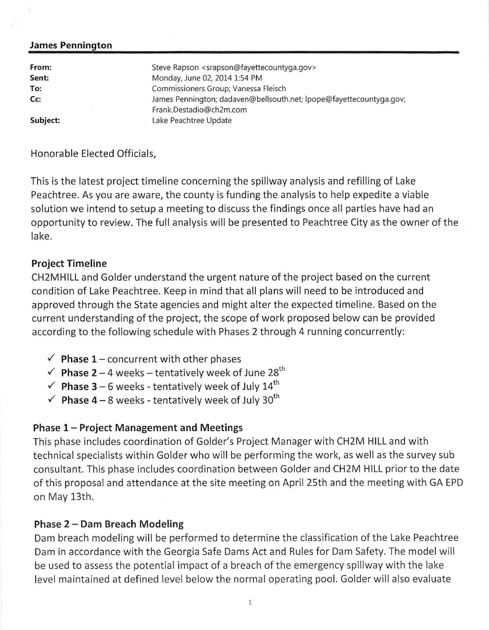#### **James Pennington**

| From:    | Steve Rapson <srapson@fayettecountyga.gov></srapson@fayettecountyga.gov> |
|----------|--------------------------------------------------------------------------|
| Sent:    | Monday, June 02, 2014 1:54 PM                                            |
| To:      | Commissioners Group; Vanessa Fleisch                                     |
| Cc:      | James Pennington; dadaven@bellsouth.net; lpope@fayettecountyga.gov;      |
|          | Frank.Destadio@ch2m.com                                                  |
| Subject: | Lake Peachtree Update                                                    |

#### Honorable Elected Officials,

This is the latest project timeline concerning the spillway analysis and refilling of Lake Peachtree. As you are aware, the county is funding the analysis to help expedite a viable solution we intend to setup a meeting to discuss the findings once all parties have had an opportunity to review. The full analysis will be presented to Peachtree City as the owner of the lake.

#### **Project Timeline**

CH2MHILL and Golder understand the urgent nature of the project based on the current condition of Lake Peachtree. Keep in mind that all plans will need to be introduced and approved through the State agencies and might alter the expected timeline. Based on the current understanding of the project, the scope of work proposed below can be provided according to the following schedule with Phases 2 through 4 running concurrently:

- $\checkmark$  Phase 1 concurrent with other phases
- $\checkmark$  Phase 2 4 weeks tentatively week of June 28<sup>th</sup>
- $\checkmark$  Phase 3 6 weeks tentatively week of July 14<sup>th</sup>
- $\checkmark$  Phase 4 8 weeks tentatively week of July 30<sup>th</sup>

### **Phase 1-Project Management and Meetings**

This phase includes coordination of Golder's Project Manager with CH2M HILL and with technical specialists within Golder who will be performing the work, as well as the survey sub consultant. This phase includes coordination between Golder and CH2M HILL prior to the date of this proposal and attendance at the site meeting on April 25th and the meeting with GA EPD on May 13th.

### **Phase 2- Dam Breach Modeling**

Dam breach modeling will be performed to determine the classification of the Lake Peachtree Dam in accordance with the Georgia Safe Dams Act and Rules for Dam Safety. The model will be used to assess the potential impact of a breach of the emergency spillway with the lake level maintained at defined level below the normal operating pool. Golder will also evaluate